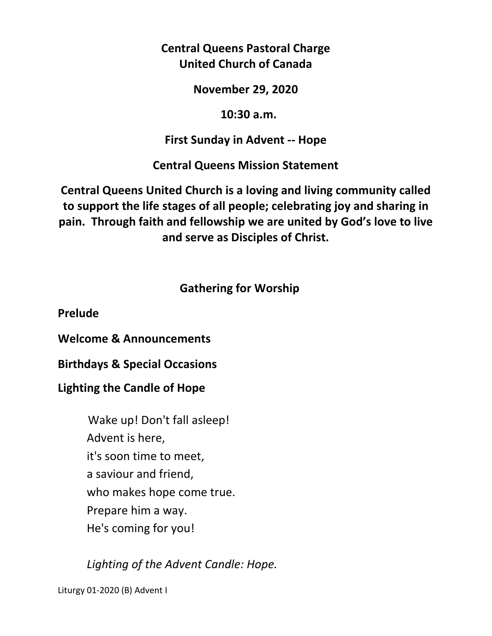**Central Queens Pastoral Charge United Church of Canada** 

**November 29, 2020** 

 **10:30 a.m.** 

# **First Sunday in Advent -- Hope**

**Central Queens Mission Statement** 

**Central Queens United Church is a loving and living community called to support the life stages of all people; celebrating joy and sharing in pain. Through faith and fellowship we are united by God's love to live and serve as Disciples of Christ.**

# **Gathering for Worship**

**Prelude** 

**Welcome & Announcements** 

**Birthdays & Special Occasions** 

**Lighting the Candle of Hope** 

Wake up! Don't fall asleep! Advent is here, it's soon time to meet, a saviour and friend, who makes hope come true. Prepare him a way. He's coming for you!

*Lighting of the Advent Candle: Hope.* 

Liturgy 01-2020 (B) Advent I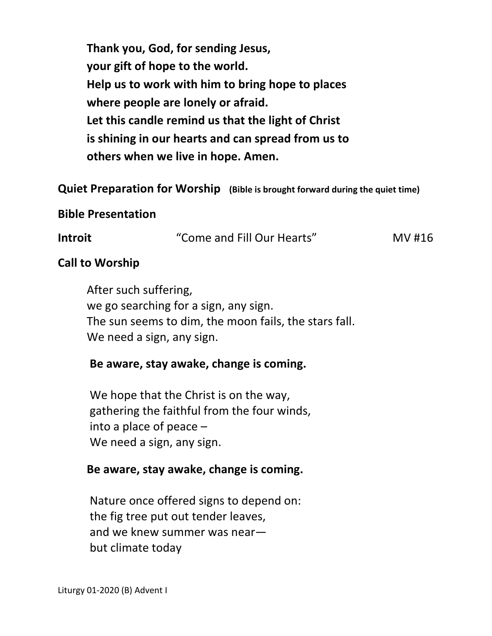**Thank you, God, for sending Jesus, your gift of hope to the world. Help us to work with him to bring hope to places where people are lonely or afraid. Let this candle remind us that the light of Christ is shining in our hearts and can spread from us to others when we live in hope. Amen.** 

**Quiet Preparation for Worship (Bible is brought forward during the quiet time)** 

#### **Bible Presentation**

**Introit 11.12 12.13 12.14 12.14 12.14 12.14 12.14 12.14 12.14 12.14 12.14 12.14 12.14 12.14 12.14 12.14 12.14 12.14 12.14 12.14 12.14 12.14 12.14 12.14 12.14 12.14 12.** 

#### **Call to Worship**

 After such suffering, we go searching for a sign, any sign. The sun seems to dim, the moon fails, the stars fall. We need a sign, any sign.

#### **Be aware, stay awake, change is coming.**

 We hope that the Christ is on the way, gathering the faithful from the four winds, into a place of peace – We need a sign, any sign.

#### **Be aware, stay awake, change is coming.**

Nature once offered signs to depend on: the fig tree put out tender leaves, and we knew summer was near but climate today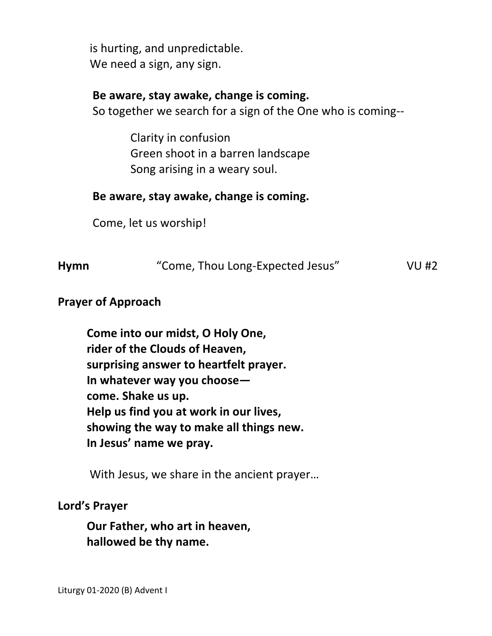is hurting, and unpredictable. We need a sign, any sign.

# **Be aware, stay awake, change is coming.**

So together we search for a sign of the One who is coming--

 Clarity in confusion Green shoot in a barren landscape Song arising in a weary soul.

# **Be aware, stay awake, change is coming.**

Come, let us worship!

| <b>Hymn</b> | "Come, Thou Long-Expected Jesus" | <b>VU#2</b> |
|-------------|----------------------------------|-------------|
|             |                                  |             |

## **Prayer of Approach**

 **Come into our midst, O Holy One, rider of the Clouds of Heaven, surprising answer to heartfelt prayer. In whatever way you choose come. Shake us up. Help us find you at work in our lives, showing the way to make all things new. In Jesus' name we pray.** 

With Jesus, we share in the ancient prayer…

## **Lord's Prayer**

**Our Father, who art in heaven, hallowed be thy name.**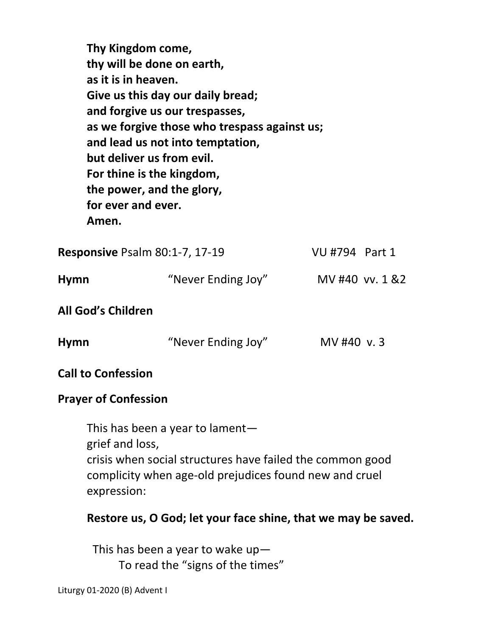**Thy Kingdom come, thy will be done on earth, as it is in heaven. Give us this day our daily bread; and forgive us our trespasses, as we forgive those who trespass against us; and lead us not into temptation, but deliver us from evil. For thine is the kingdom, the power, and the glory, for ever and ever. Amen. Responsive Psalm 80:1-7, 17-19 VU #794 Part 1** 

| Hymn                      | "Never Ending Joy" | MV #40 vv. 1 &2 |
|---------------------------|--------------------|-----------------|
| <b>All God's Children</b> |                    |                 |

| <b>Hymn</b> | "Never Ending Joy" | MV #40 v.3 |
|-------------|--------------------|------------|
|-------------|--------------------|------------|

**Call to Confession** 

## **Prayer of Confession**

This has been a year to lament grief and loss, crisis when social structures have failed the common good complicity when age-old prejudices found new and cruel expression:

## **Restore us, O God; let your face shine, that we may be saved.**

This has been a year to wake up— To read the "signs of the times"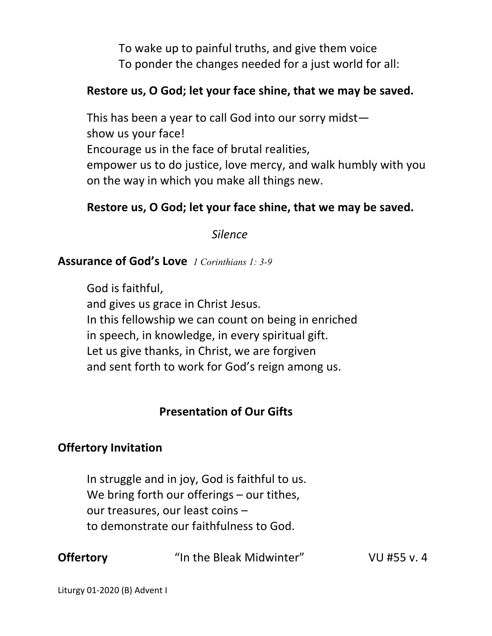To wake up to painful truths, and give them voice To ponder the changes needed for a just world for all:

## **Restore us, O God; let your face shine, that we may be saved.**

 This has been a year to call God into our sorry midst show us your face! Encourage us in the face of brutal realities, empower us to do justice, love mercy, and walk humbly with you on the way in which you make all things new.

# **Restore us, O God; let your face shine, that we may be saved.**

 *Silence* 

#### **Assurance of God's Love** *1 Corinthians 1: 3-9*

 God is faithful, and gives us grace in Christ Jesus. In this fellowship we can count on being in enriched in speech, in knowledge, in every spiritual gift. Let us give thanks, in Christ, we are forgiven and sent forth to work for God's reign among us.

# **Presentation of Our Gifts**

# **Offertory Invitation**

In struggle and in joy, God is faithful to us. We bring forth our offerings – our tithes, our treasures, our least coins – to demonstrate our faithfulness to God.

**Offertory "**In the Bleak Midwinter" VU #55 v. 4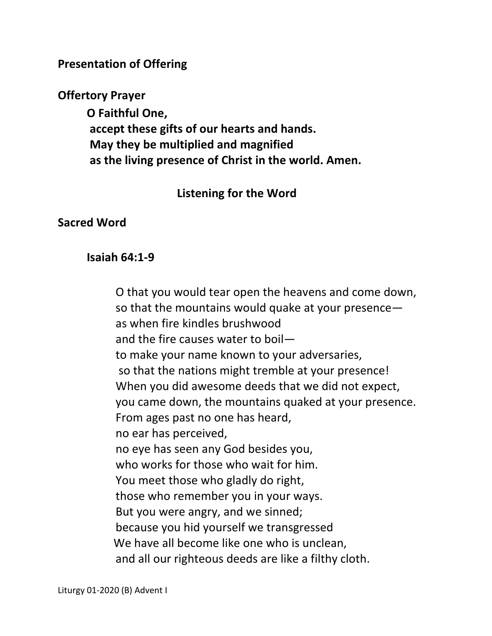**Presentation of Offering** 

**Offertory Prayer** 

**O Faithful One, accept these gifts of our hearts and hands. May they be multiplied and magnified as the living presence of Christ in the world. Amen.**

# **Listening for the Word**

# **Sacred Word**

# **Isaiah 64:1-9**

O that you would tear open the heavens and come down, so that the mountains would quake at your presence as when fire kindles brushwood and the fire causes water to boil to make your name known to your adversaries, so that the nations might tremble at your presence! When you did awesome deeds that we did not expect, you came down, the mountains quaked at your presence. From ages past no one has heard, no ear has perceived, no eye has seen any God besides you, who works for those who wait for him. You meet those who gladly do right, those who remember you in your ways. But you were angry, and we sinned; because you hid yourself we transgressed We have all become like one who is unclean, and all our righteous deeds are like a filthy cloth.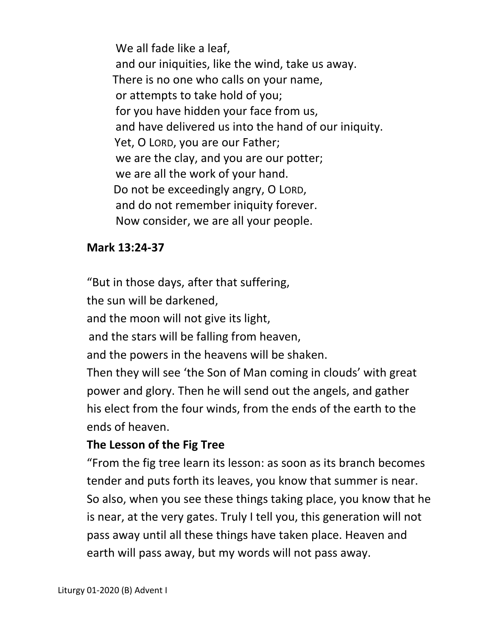We all fade like a leaf, and our iniquities, like the wind, take us away. There is no one who calls on your name, or attempts to take hold of you; for you have hidden your face from us, and have delivered us into the hand of our iniquity. Yet, O LORD, you are our Father; we are the clay, and you are our potter; we are all the work of your hand. Do not be exceedingly angry, O LORD, and do not remember iniquity forever. Now consider, we are all your people.

## **Mark 13:24-37**

"But in those days, after that suffering, the sun will be darkened, and the moon will not give its light, and the stars will be falling from heaven, and the powers in the heavens will be shaken. Then they will see 'the Son of Man coming in clouds' with great power and glory. Then he will send out the angels, and gather his elect from the four winds, from the ends of the earth to the ends of heaven.

# **The Lesson of the Fig Tree**

"From the fig tree learn its lesson: as soon as its branch becomes tender and puts forth its leaves, you know that summer is near. So also, when you see these things taking place, you know that he is near, at the very gates. Truly I tell you, this generation will not pass away until all these things have taken place. Heaven and earth will pass away, but my words will not pass away.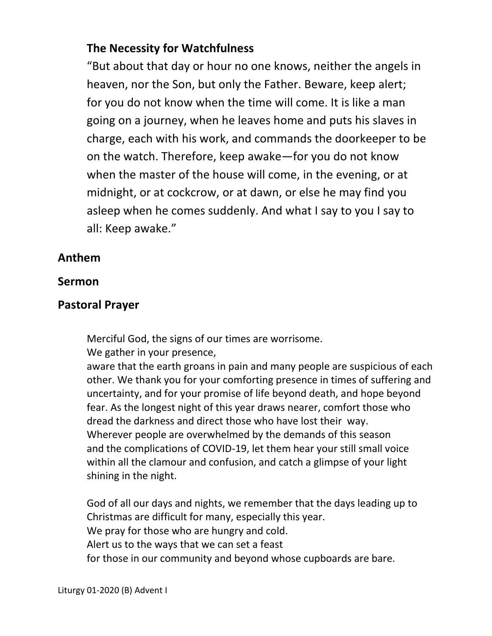# **The Necessity for Watchfulness**

"But about that day or hour no one knows, neither the angels in heaven, nor the Son, but only the Father. Beware, keep alert; for you do not know when the time will come. It is like a man going on a journey, when he leaves home and puts his slaves in charge, each with his work, and commands the doorkeeper to be on the watch. Therefore, keep awake—for you do not know when the master of the house will come, in the evening, or at midnight, or at cockcrow, or at dawn, or else he may find you asleep when he comes suddenly. And what I say to you I say to all: Keep awake."

# **Anthem**

## **Sermon**

## **Pastoral Prayer**

Merciful God, the signs of our times are worrisome.

We gather in your presence,

 aware that the earth groans in pain and many people are suspicious of each other. We thank you for your comforting presence in times of suffering and uncertainty, and for your promise of life beyond death, and hope beyond fear. As the longest night of this year draws nearer, comfort those who dread the darkness and direct those who have lost their way. Wherever people are overwhelmed by the demands of this season and the complications of COVID-19, let them hear your still small voice within all the clamour and confusion, and catch a glimpse of your light shining in the night.

 God of all our days and nights, we remember that the days leading up to Christmas are difficult for many, especially this year. We pray for those who are hungry and cold. Alert us to the ways that we can set a feast for those in our community and beyond whose cupboards are bare.